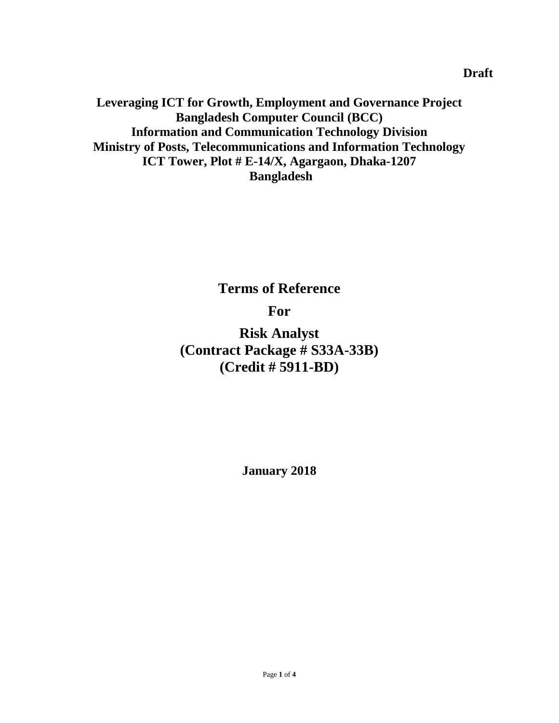**Leveraging ICT for Growth, Employment and Governance Project Bangladesh Computer Council (BCC) Information and Communication Technology Division Ministry of Posts, Telecommunications and Information Technology ICT Tower, Plot # E-14/X, Agargaon, Dhaka-1207 Bangladesh**

# **Terms of Reference For**

**Risk Analyst (Contract Package # S33A-33B) (Credit # 5911-BD)**

**January 2018**

**Draft**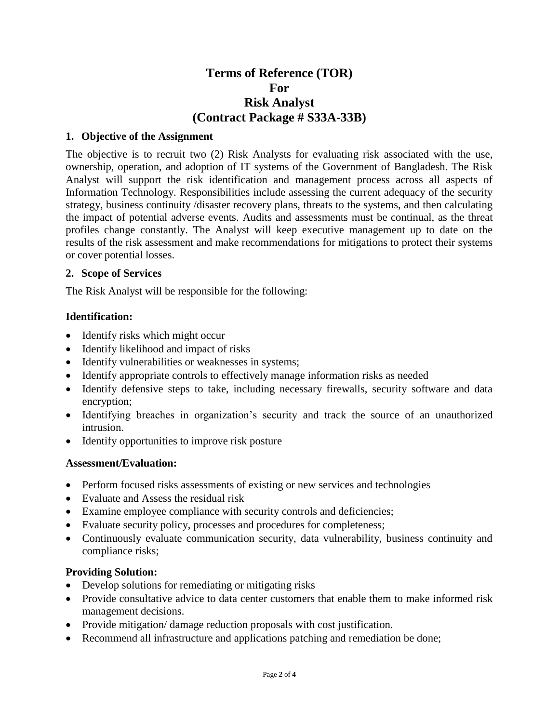# **Terms of Reference (TOR) For Risk Analyst (Contract Package # S33A-33B)**

#### **1. Objective of the Assignment**

The objective is to recruit two (2) Risk Analysts for evaluating risk associated with the use, ownership, operation, and adoption of IT systems of the Government of Bangladesh. The Risk Analyst will support the risk identification and management process across all aspects of Information Technology. Responsibilities include assessing the current adequacy of the security strategy, business continuity /disaster recovery plans, threats to the systems, and then calculating the impact of potential adverse events. Audits and assessments must be continual, as the threat profiles change constantly. The Analyst will keep executive management up to date on the results of the risk assessment and make recommendations for mitigations to protect their systems or cover potential losses.

#### **2. Scope of Services**

The Risk Analyst will be responsible for the following:

#### **Identification:**

- Identify risks which might occur
- Identify likelihood and impact of risks
- Identify vulnerabilities or weaknesses in systems;
- Identify appropriate controls to effectively manage information risks as needed
- Identify defensive steps to take, including necessary firewalls, security software and data encryption;
- Identifying breaches in organization's security and track the source of an unauthorized intrusion.
- Identify opportunities to improve risk posture

#### **Assessment/Evaluation:**

- Perform focused risks assessments of existing or new services and technologies
- Evaluate and Assess the residual risk
- Examine employee compliance with security controls and deficiencies;
- Evaluate security policy, processes and procedures for completeness;
- Continuously evaluate communication security, data vulnerability, business continuity and compliance risks;

#### **Providing Solution:**

- Develop solutions for remediating or mitigating risks
- Provide consultative advice to data center customers that enable them to make informed risk management decisions.
- Provide mitigation/ damage reduction proposals with cost justification.
- Recommend all infrastructure and applications patching and remediation be done;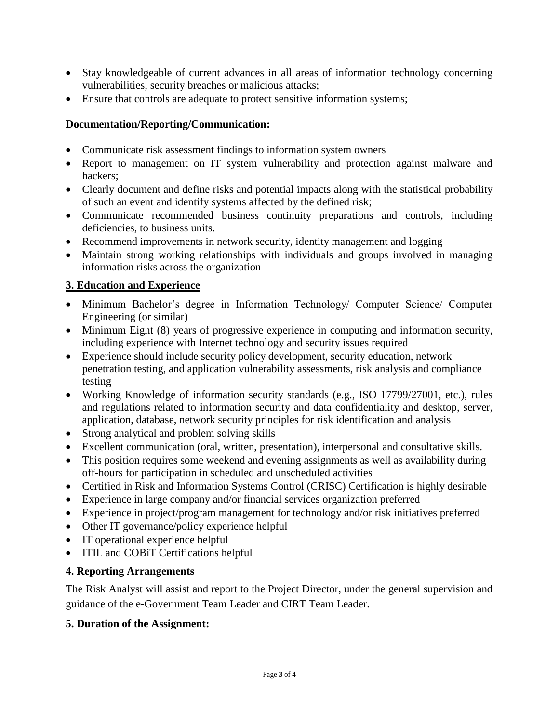- Stay knowledgeable of current advances in all areas of information technology concerning vulnerabilities, security breaches or malicious attacks;
- Ensure that controls are adequate to protect sensitive information systems;

## **Documentation/Reporting/Communication:**

- Communicate risk assessment findings to information system owners
- Report to management on IT system vulnerability and protection against malware and hackers;
- Clearly document and define risks and potential impacts along with the statistical probability of such an event and identify systems affected by the defined risk;
- Communicate recommended business continuity preparations and controls, including deficiencies, to business units.
- Recommend improvements in network security, identity management and logging
- Maintain strong working relationships with individuals and groups involved in managing information risks across the organization

## **3. Education and Experience**

- Minimum Bachelor's degree in Information Technology/ Computer Science/ Computer Engineering (or similar)
- Minimum Eight (8) years of progressive experience in computing and information security, including experience with Internet technology and security issues required
- Experience should include security policy development, security education, network penetration testing, and application vulnerability assessments, risk analysis and compliance testing
- Working Knowledge of information security standards (e.g., ISO 17799/27001, etc.), rules and regulations related to information security and data confidentiality and desktop, server, application, database, network security principles for risk identification and analysis
- Strong analytical and problem solving skills
- Excellent communication (oral, written, presentation), interpersonal and consultative skills.
- This position requires some weekend and evening assignments as well as availability during off-hours for participation in scheduled and unscheduled activities
- Certified in Risk and Information Systems Control (CRISC) Certification is highly desirable
- Experience in large company and/or financial services organization preferred
- Experience in project/program management for technology and/or risk initiatives preferred
- Other IT governance/policy experience helpful
- IT operational experience helpful
- ITIL and COBiT Certifications helpful

## **4. Reporting Arrangements**

The Risk Analyst will assist and report to the Project Director, under the general supervision and guidance of the e-Government Team Leader and CIRT Team Leader.

## **5. Duration of the Assignment:**